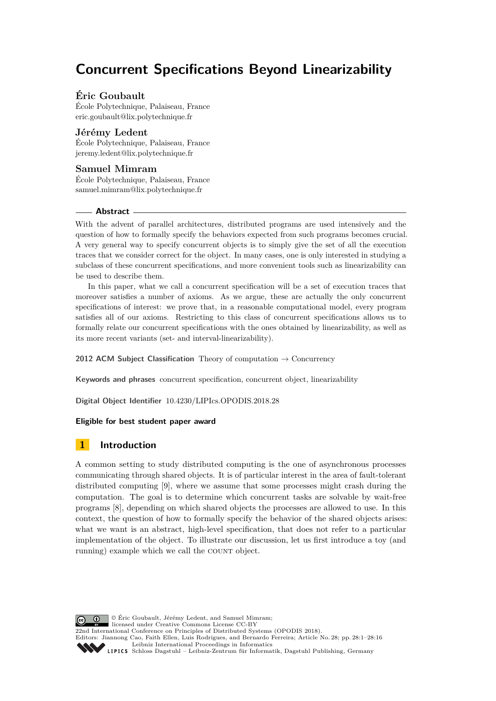# **Concurrent Specifications Beyond Linearizability**

# **Éric Goubault**

École Polytechnique, Palaiseau, France [eric.goubault@lix.polytechnique.fr](mailto:eric.goubault@lix.polytechnique.fr)

# **Jérémy Ledent**

École Polytechnique, Palaiseau, France [jeremy.ledent@lix.polytechnique.fr](mailto:jeremy.ledent@lix.polytechnique.fr)

# **Samuel Mimram**

École Polytechnique, Palaiseau, France [samuel.mimram@lix.polytechnique.fr](mailto:samuel.mimram@lix.polytechnique.fr)

## **Abstract**

With the advent of parallel architectures, distributed programs are used intensively and the question of how to formally specify the behaviors expected from such programs becomes crucial. A very general way to specify concurrent objects is to simply give the set of all the execution traces that we consider correct for the object. In many cases, one is only interested in studying a subclass of these concurrent specifications, and more convenient tools such as linearizability can be used to describe them.

In this paper, what we call a concurrent specification will be a set of execution traces that moreover satisfies a number of axioms. As we argue, these are actually the only concurrent specifications of interest: we prove that, in a reasonable computational model, every program satisfies all of our axioms. Restricting to this class of concurrent specifications allows us to formally relate our concurrent specifications with the ones obtained by linearizability, as well as its more recent variants (set- and interval-linearizability).

**2012 ACM Subject Classification** Theory of computation → Concurrency

**Keywords and phrases** concurrent specification, concurrent object, linearizability

**Digital Object Identifier** [10.4230/LIPIcs.OPODIS.2018.28](https://doi.org/10.4230/LIPIcs.OPODIS.2018.28)

## **Eligible for best student paper award**

# **1 Introduction**

A common setting to study distributed computing is the one of asynchronous processes communicating through shared objects. It is of particular interest in the area of fault-tolerant distributed computing [\[9\]](#page-15-0), where we assume that some processes might crash during the computation. The goal is to determine which concurrent tasks are solvable by wait-free programs [\[8\]](#page-14-0), depending on which shared objects the processes are allowed to use. In this context, the question of how to formally specify the behavior of the shared objects arises: what we want is an abstract, high-level specification, that does not refer to a particular implementation of the object. To illustrate our discussion, let us first introduce a toy (and running) example which we call the COUNT object.

**C**  $\bullet$   $\bullet$  <sup> $\circ$ </sup> Éric Goubault, Jérémy Ledent, and Samuel Mimram: licensed under Creative Commons License CC-BY 22nd International Conference on Principles of Distributed Systems (OPODIS 2018). Editors: Jiannong Cao, Faith Ellen, Luis Rodrigues, and Bernardo Ferreira; Article No. 28; pp. 28:1–28[:16](#page-15-1) [Leibniz International Proceedings in Informatics](http://www.dagstuhl.de/lipics/) [Schloss Dagstuhl – Leibniz-Zentrum für Informatik, Dagstuhl Publishing, Germany](http://www.dagstuhl.de)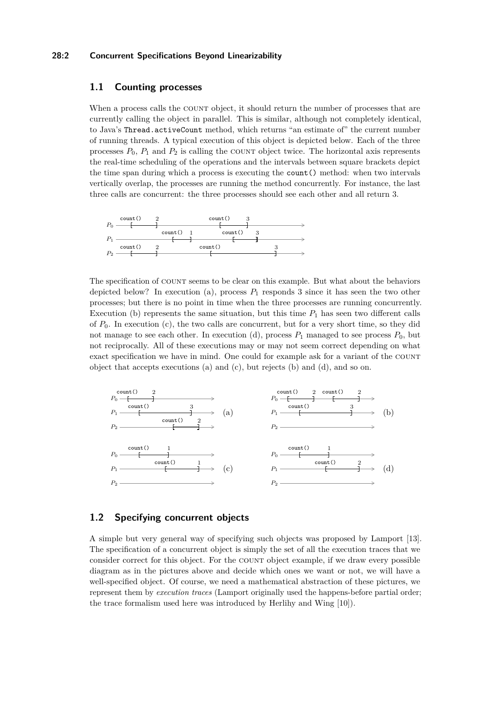## **28:2 Concurrent Specifications Beyond Linearizability**

## **1.1 Counting processes**

When a process calls the COUNT object, it should return the number of processes that are currently calling the object in parallel. This is similar, although not completely identical, to Java's Thread.activeCount method, which returns "an estimate of" the current number of running threads. A typical execution of this object is depicted below. Each of the three processes  $P_0$ ,  $P_1$  and  $P_2$  is calling the COUNT object twice. The horizontal axis represents the real-time scheduling of the operations and the intervals between square brackets depict the time span during which a process is executing the count() method: when two intervals vertically overlap, the processes are running the method concurrently. For instance, the last three calls are concurrent: the three processes should see each other and all return 3.



The specification of COUNT seems to be clear on this example. But what about the behaviors depicted below? In execution (a), process  $P_1$  responds 3 since it has seen the two other processes; but there is no point in time when the three processes are running concurrently. Execution (b) represents the same situation, but this time  $P_1$  has seen two different calls of *P*0. In execution (c), the two calls are concurrent, but for a very short time, so they did not manage to see each other. In execution (d), process  $P_1$  managed to see process  $P_0$ , but not reciprocally. All of these executions may or may not seem correct depending on what exact specification we have in mind. One could for example ask for a variant of the COUNT object that accepts executions (a) and (c), but rejects (b) and (d), and so on.



# **1.2 Specifying concurrent objects**

A simple but very general way of specifying such objects was proposed by Lamport [\[13\]](#page-15-2). The specification of a concurrent object is simply the set of all the execution traces that we consider correct for this object. For the COUNT object example, if we draw every possible diagram as in the pictures above and decide which ones we want or not, we will have a well-specified object. Of course, we need a mathematical abstraction of these pictures, we represent them by *execution traces* (Lamport originally used the happens-before partial order; the trace formalism used here was introduced by Herlihy and Wing [\[10\]](#page-15-3)).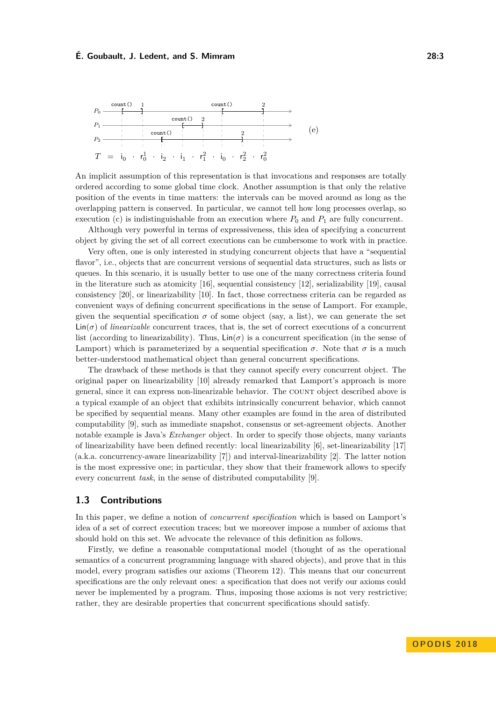

An implicit assumption of this representation is that invocations and responses are totally ordered according to some global time clock. Another assumption is that only the relative position of the events in time matters: the intervals can be moved around as long as the overlapping pattern is conserved. In particular, we cannot tell how long processes overlap, so execution (c) is indistinguishable from an execution where  $P_0$  and  $P_1$  are fully concurrent.

Although very powerful in terms of expressiveness, this idea of specifying a concurrent object by giving the set of all correct executions can be cumbersome to work with in practice.

Very often, one is only interested in studying concurrent objects that have a "sequential flavor", i.e., objects that are concurrent versions of sequential data structures, such as lists or queues. In this scenario, it is usually better to use one of the many correctness criteria found in the literature such as atomicity [\[16\]](#page-15-4), sequential consistency [\[12\]](#page-15-5), serializability [\[19\]](#page-15-6), causal consistency [\[20\]](#page-15-7), or linearizability [\[10\]](#page-15-3). In fact, those correctness criteria can be regarded as convenient ways of defining concurrent specifications in the sense of Lamport. For example, given the sequential specification  $\sigma$  of some object (say, a list), we can generate the set  $\text{Lin}(\sigma)$  of *linearizable* concurrent traces, that is, the set of correct executions of a concurrent list (according to linearizability). Thus,  $\text{Lin}(\sigma)$  is a concurrent specification (in the sense of Lamport) which is parameterized by a sequential specification  $\sigma$ . Note that  $\sigma$  is a much better-understood mathematical object than general concurrent specifications.

The drawback of these methods is that they cannot specify every concurrent object. The original paper on linearizability [\[10\]](#page-15-3) already remarked that Lamport's approach is more general, since it can express non-linearizable behavior. The count object described above is a typical example of an object that exhibits intrinsically concurrent behavior, which cannot be specified by sequential means. Many other examples are found in the area of distributed computability [\[9\]](#page-15-0), such as immediate snapshot, consensus or set-agreement objects. Another notable example is Java's *Exchanger* object. In order to specify those objects, many variants of linearizability have been defined recently: local linearizability [\[6\]](#page-14-1), set-linearizability [\[17\]](#page-15-8) (a.k.a. concurrency-aware linearizability [\[7\]](#page-14-2)) and interval-linearizability [\[2\]](#page-14-3). The latter notion is the most expressive one; in particular, they show that their framework allows to specify every concurrent *task*, in the sense of distributed computability [\[9\]](#page-15-0).

#### **1.3 Contributions**

In this paper, we define a notion of *concurrent specification* which is based on Lamport's idea of a set of correct execution traces; but we moreover impose a number of axioms that should hold on this set. We advocate the relevance of this definition as follows.

Firstly, we define a reasonable computational model (thought of as the operational semantics of a concurrent programming language with shared objects), and prove that in this model, every program satisfies our axioms (Theorem [12\)](#page-8-0). This means that our concurrent specifications are the only relevant ones: a specification that does not verify our axioms could never be implemented by a program. Thus, imposing those axioms is not very restrictive; rather, they are desirable properties that concurrent specifications should satisfy.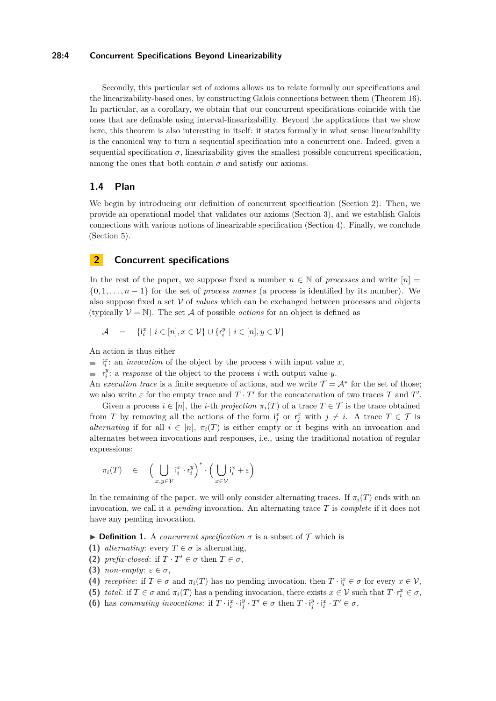## **28:4 Concurrent Specifications Beyond Linearizability**

Secondly, this particular set of axioms allows us to relate formally our specifications and the linearizability-based ones, by constructing Galois connections between them (Theorem [16\)](#page-10-0). In particular, as a corollary, we obtain that our concurrent specifications coincide with the ones that are definable using interval-linearizability. Beyond the applications that we show here, this theorem is also interesting in itself: it states formally in what sense linearizability is the canonical way to turn a sequential specification into a concurrent one. Indeed, given a sequential specification  $\sigma$ , linearizability gives the smallest possible concurrent specification, among the ones that both contain  $\sigma$  and satisfy our axioms.

## **1.4 Plan**

We begin by introducing our definition of concurrent specification (Section [2\)](#page-3-0). Then, we provide an operational model that validates our axioms (Section [3\)](#page-5-0), and we establish Galois connections with various notions of linearizable specification (Section [4\)](#page-8-1). Finally, we conclude (Section [5\)](#page-14-4).

# <span id="page-3-0"></span>**2 Concurrent specifications**

In the rest of the paper, we suppose fixed a number  $n \in \mathbb{N}$  of *processes* and write  $[n] =$  $\{0, 1, \ldots, n-1\}$  for the set of *process names* (a process is identified by its number). We also suppose fixed a set  $\mathcal V$  of *values* which can be exchanged between processes and objects (typically  $V = N$ ). The set A of possible *actions* for an object is defined as

$$
\mathcal{A} = \{ \mathbf{i}_i^x \mid i \in [n], x \in \mathcal{V} \} \cup \{ \mathbf{r}_i^y \mid i \in [n], y \in \mathcal{V} \}
$$

An action is thus either

 $i_i^x$ : an *invocation* of the object by the process *i* with input value *x*,

 $r_i^y$ : a *response* of the object to the process *i* with output value *y*.

An *execution trace* is a finite sequence of actions, and we write  $\mathcal{T} = \mathcal{A}^*$  for the set of those; we also write  $\varepsilon$  for the empty trace and  $T \cdot T'$  for the concatenation of two traces  $T$  and  $T'$ .

Given a process  $i \in [n]$ , the *i*-th *projection*  $\pi_i(T)$  of a trace  $T \in \mathcal{T}$  is the trace obtained from *T* by removing all the actions of the form  $i_j^x$  or  $r_j^x$  with  $j \neq i$ . A trace  $T \in \mathcal{T}$  is *alternating* if for all  $i \in [n]$ ,  $\pi_i(T)$  is either empty or it begins with an invocation and alternates between invocations and responses, i.e., using the traditional notation of regular expressions:

$$
\pi_i(T) \in \left(\bigcup_{x,y \in \mathcal{V}} \mathfrak{i}_i^x \cdot r_i^y\right)^* \cdot \left(\bigcup_{x \in \mathcal{V}} \mathfrak{i}_i^x + \varepsilon\right)
$$

In the remaining of the paper, we will only consider alternating traces. If  $\pi_i(T)$  ends with an invocation, we call it a *pending* invocation. An alternating trace *T* is *complete* if it does not have any pending invocation.

<span id="page-3-1"></span>**Definition 1.** A *concurrent specification*  $\sigma$  is a subset of  $\mathcal{T}$  which is

- **(1)** *alternating*: every  $T \in \sigma$  is alternating,
- **(2)** *prefix-closed*: if  $T \cdot T' \in \sigma$  then  $T \in \sigma$ ,
- **(3)** *non-empty:*  $\varepsilon \in \sigma$ ,
- **(4)** *receptive*: if  $T \in \sigma$  and  $\pi_i(T)$  has no pending invocation, then  $T \cdot i_i^x \in \sigma$  for every  $x \in V$ ,
- **(5)** *total*: if  $T \in \sigma$  and  $\pi_i(T)$  has a pending invocation, there exists  $x \in \mathcal{V}$  such that  $T \cdot r_i^x \in \sigma$ ,
- <span id="page-3-2"></span>**(6)** has *commuting invocations*: if  $T \cdot i_i^x \cdot i_j^y \cdot T' \in \sigma$  then  $T \cdot i_j^y \cdot i_i^x \cdot T' \in \sigma$ ,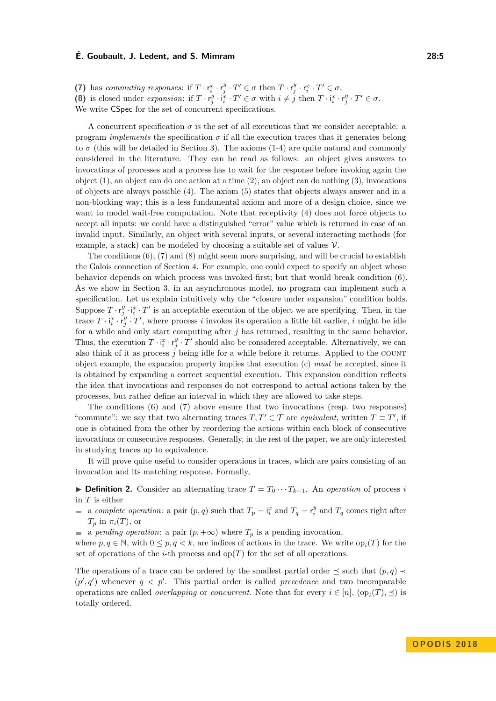<span id="page-4-0"></span>(7) has *commuting responses*: if  $T \cdot r_i^x \cdot r_j^y \cdot T' \in \sigma$  then  $T \cdot r_j^y \cdot r_i^x \cdot T' \in \sigma$ ,

<span id="page-4-1"></span>(8) is closed under expansion: if  $T \cdot r_j^y \cdot i_i^x \cdot T' \in \sigma$  with  $i \neq j$  then  $T \cdot i_i^x \cdot r_j^y \cdot T' \in \sigma$ .

We write CSpec for the set of concurrent specifications.

A concurrent specification  $\sigma$  is the set of all executions that we consider acceptable: a program *implements* the specification  $\sigma$  if all the execution traces that it generates belong to  $\sigma$  (this will be detailed in Section [3\)](#page-5-0). The axioms (1-4) are quite natural and commonly considered in the literature. They can be read as follows: an object gives answers to invocations of processes and a process has to wait for the response before invoking again the object (1), an object can do one action at a time (2), an object can do nothing (3), invocations of objects are always possible (4). The axiom (5) states that objects always answer and in a non-blocking way; this is a less fundamental axiom and more of a design choice, since we want to model wait-free computation. Note that receptivity (4) does not force objects to accept all inputs: we could have a distinguished "error" value which is returned in case of an invalid input. Similarly, an object with several inputs, or several interacting methods (for example, a stack) can be modeled by choosing a suitable set of values  $\mathcal V$ .

The conditions  $(6)$ ,  $(7)$  and  $(8)$  might seem more surprising, and will be crucial to establish the Galois connection of Section [4.](#page-8-1) For example, one could expect to specify an object whose behavior depends on which process was invoked first; but that would break condition (6). As we show in Section [3,](#page-5-0) in an asynchronous model, no program can implement such a specification. Let us explain intuitively why the "closure under expansion" condition holds. Suppose  $T \cdot r_j^y \cdot i_i^x \cdot T'$  is an acceptable execution of the object we are specifying. Then, in the trace  $T \cdot i_i^x \cdot r_j^y \cdot T'$ , where process *i* invokes its operation a little bit earlier, *i* might be idle for a while and only start computing after *j* has returned, resulting in the same behavior. Thus, the execution  $T \cdot i_i^x \cdot r_j^y \cdot T'$  should also be considered acceptable. Alternatively, we can also think of it as process *j* being idle for a while before it returns. Applied to the count object example, the expansion property implies that execution (c) *must* be accepted, since it is obtained by expanding a correct sequential execution. This expansion condition reflects the idea that invocations and responses do not correspond to actual actions taken by the processes, but rather define an interval in which they are allowed to take steps.

The conditions (6) and (7) above ensure that two invocations (resp. two responses) "commute": we say that two alternating traces  $T, T' \in \mathcal{T}$  are *equivalent*, written  $T \equiv T'$ , if one is obtained from the other by reordering the actions within each block of consecutive invocations or consecutive responses. Generally, in the rest of the paper, we are only interested in studying traces up to equivalence.

It will prove quite useful to consider operations in traces, which are pairs consisting of an invocation and its matching response. Formally,

**► Definition 2.** Consider an alternating trace  $T = T_0 \cdots T_{k-1}$ . An *operation* of process *i* in *T* is either

a *complete operation*: a pair  $(p, q)$  such that  $T_p = \mathbf{i}_i^x$  and  $T_q = \mathbf{r}_i^y$  and  $T_q$  comes right after  $T_p$  in  $\pi_i(T)$ , or

a *pending operation*: a pair  $(p, +\infty)$  where  $T_p$  is a pending invocation,  $\sim$ 

where  $p, q \in \mathbb{N}$ , with  $0 \leq p, q < k$ , are indices of actions in the trace. We write  $op_i(T)$  for the set of operations of the *i*-th process and  $op(T)$  for the set of all operations.

The operations of a trace can be ordered by the smallest partial order  $\preceq$  such that  $(p,q) \preceq$  $(p', q')$  whenever  $q < p'$ . This partial order is called *precedence* and two incomparable operations are called *overlapping* or *concurrent*. Note that for every  $i \in [n]$ ,  $(\text{op}_i(T), \preceq)$  is totally ordered.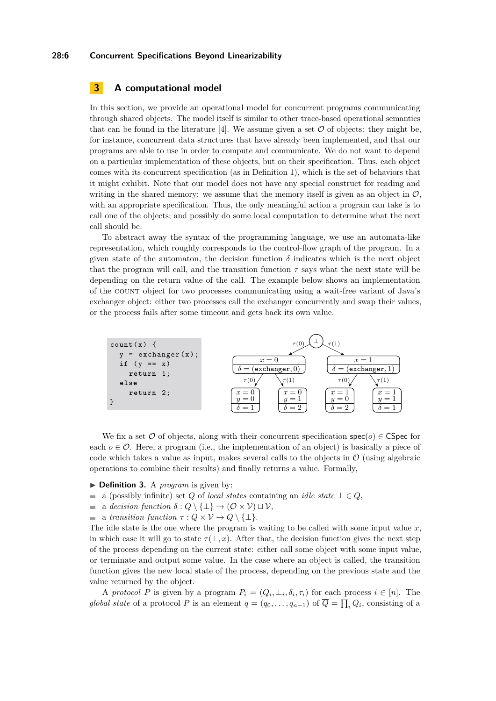#### **28:6 Concurrent Specifications Beyond Linearizability**

# <span id="page-5-0"></span>**3 A computational model**

In this section, we provide an operational model for concurrent programs communicating through shared objects. The model itself is similar to other trace-based operational semantics that can be found in the literature [\[4\]](#page-14-5). We assume given a set  $\mathcal O$  of objects: they might be, for instance, concurrent data structures that have already been implemented, and that our programs are able to use in order to compute and communicate. We do not want to depend on a particular implementation of these objects, but on their specification. Thus, each object comes with its concurrent specification (as in Definition [1\)](#page-3-1), which is the set of behaviors that it might exhibit. Note that our model does not have any special construct for reading and writing in the shared memory: we assume that the memory itself is given as an object in  $\mathcal{O}$ , with an appropriate specification. Thus, the only meaningful action a program can take is to call one of the objects; and possibly do some local computation to determine what the next call should be.

To abstract away the syntax of the programming language, we use an automata-like representation, which roughly corresponds to the control-flow graph of the program. In a given state of the automaton, the decision function  $\delta$  indicates which is the next object that the program will call, and the transition function  $\tau$  says what the next state will be depending on the return value of the call. The example below shows an implementation of the count object for two processes communicating using a wait-free variant of Java's exchanger object: either two processes call the exchanger concurrently and swap their values, or the process fails after some timeout and gets back its own value.



We fix a set  $\mathcal O$  of objects, along with their concurrent specification  $\text{spec}(o) \in \text{CSpec}$  for each  $o \in \mathcal{O}$ . Here, a program (i.e., the implementation of an object) is basically a piece of code which takes a value as input, makes several calls to the objects in  $\mathcal O$  (using algebraic operations to combine their results) and finally returns a value. Formally,

- ▶ **Definition 3.** A *program* is given by:
- a (possibly infinite) set *Q* of *local states* containing an *idle state*  $\bot \in Q$ ,  $\blacksquare$
- $\overline{a}$ a *decision function*  $\delta: Q \setminus {\perp} \rightarrow (\mathcal{O} \times \mathcal{V}) \sqcup \mathcal{V}$ ,
- a *transition function*  $\tau : Q \times V \to Q \setminus \{\perp\}.$  $\blacksquare$

The idle state is the one where the program is waiting to be called with some input value *x*, in which case it will go to state  $\tau(\perp, x)$ . After that, the decision function gives the next step of the process depending on the current state: either call some object with some input value, or terminate and output some value. In the case where an object is called, the transition function gives the new local state of the process, depending on the previous state and the value returned by the object.

A *protocol P* is given by a program  $P_i = (Q_i, \perp_i, \delta_i, \tau_i)$  for each process  $i \in [n]$ . The *global state* of a protocol *P* is an element  $q = (q_0, \ldots, q_{n-1})$  of  $\overline{Q} = \prod_i Q_i$ , consisting of a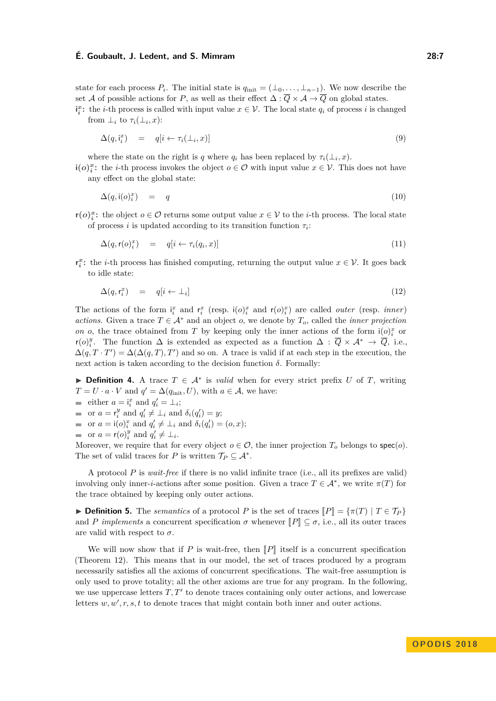state for each process  $P_i$ . The initial state is  $q_{\text{init}} = (\perp_0, \ldots, \perp_{n-1})$ . We now describe the set A of possible actions for P, as well as their effect  $\Delta : \overline{Q} \times A \to \overline{Q}$  on global states.  $\mathbf{i}^x_i$ : the *i*-th process is called with input value  $x \in \mathcal{V}$ . The local state  $q_i$  of process *i* is changed

from  $\perp_i$  to  $\tau_i(\perp_i, x)$ :

$$
\Delta(q, \mathbf{i}_i^x) = q[i \leftarrow \tau_i(\perp_i, x)] \tag{9}
$$

where the state on the right is *q* where  $q_i$  has been replaced by  $\tau_i(\perp_i, x)$ .

**i(***o*)<sup>*x*</sup>: the *i*-th process invokes the object *o* ∈ *O* with input value *x* ∈  $V$ . This does not have any effect on the global state:

$$
\Delta(q, \mathbf{i}(o))^x = q \tag{10}
$$

**r(***o*)<sup>*x*</sup><sub>*i*</sub>: the object *o* ∈ *O* returns some output value *x* ∈ *V* to the *i*-th process. The local state of process *i* is updated according to its transition function  $\tau_i$ :

$$
\Delta(q, \mathbf{r}(o_i^x) = q[i \leftarrow \tau_i(q_i, x)] \tag{11}
$$

**r**<sup>*x*</sup>: the *i*-th process has finished computing, returning the output value  $x \in V$ . It goes back to idle state:

$$
\Delta(q, r_i^x) = q[i \leftarrow \perp_i] \tag{12}
$$

The actions of the form  $\mathbf{i}_i^x$  and  $\mathbf{r}_i^x$  (resp.  $\mathbf{i}(o)_i^x$  and  $\mathbf{r}(o)_i^x$ ) are called *outer* (resp. *inner*) *actions*. Given a trace  $T \in A^*$  and an object *o*, we denote by  $T_o$ , called the *inner projection on o*, the trace obtained from *T* by keeping only the inner actions of the form  $i(o)$ <sup>*x*</sup></sup> or r(*o*)<sup>*y*</sup>. The function  $\Delta$  is extended as expected as a function  $\Delta : \overline{Q} \times A^* \to \overline{Q}$ , i.e.,  $\Delta(q, T \cdot T') = \Delta(\Delta(q, T), T')$  and so on. A trace is valid if at each step in the execution, the next action is taken according to the decision function *δ*. Formally:

**Definition 4.** A trace  $T \in \mathcal{A}^*$  is *valid* when for every strict prefix *U* of *T*, writing  $T = U \cdot a \cdot V$  and  $q' = \Delta(q_{\text{init}}, U)$ , with  $a \in \mathcal{A}$ , we have:

- either  $a = \mathbf{i}_i^x$  and  $q'_i = \perp_i$ ;
- or  $a = r_i^y$  and  $q_i' \neq \bot_i$  and  $\delta_i(q_i') = y$ ;
- or  $a = \mathsf{i}(o)^x_i$  and  $q'_i \neq \bot_i$  and  $\delta_i(q'_i) = (o, x);$
- or  $a = r(o)<sub>i</sub><sup>y</sup>$  and  $q'_{i} \neq \bot_{i}$ .

Moreover, we require that for every object  $o \in \mathcal{O}$ , the inner projection  $T_o$  belongs to  $\mathsf{spec}(o)$ . The set of valid traces for *P* is written  $\mathcal{T}_P \subseteq \mathcal{A}^*$ .

A protocol *P* is *wait-free* if there is no valid infinite trace (i.e., all its prefixes are valid) involving only inner-*i*-actions after some position. Given a trace  $T \in \mathcal{A}^*$ , we write  $\pi(T)$  for the trace obtained by keeping only outer actions.

 $\triangleright$  **Definition 5.** The *semantics* of a protocol *P* is the set of traces  $\llbracket P \rrbracket = \{π(T) | T ∈ T_P\}$ and *P implements* a concurrent specification  $\sigma$  whenever  $\llbracket P \rrbracket \subseteq \sigma$ , i.e., all its outer traces are valid with respect to  $\sigma$ .

We will now show that if  $P$  is wait-free, then  $\llbracket P \rrbracket$  itself is a concurrent specification (Theorem [12\)](#page-8-0). This means that in our model, the set of traces produced by a program necessarily satisfies all the axioms of concurrent specifications. The wait-free assumption is only used to prove totality; all the other axioms are true for any program. In the following, we use uppercase letters  $T, T'$  to denote traces containing only outer actions, and lowercase letters  $w, w', r, s, t$  to denote traces that might contain both inner and outer actions.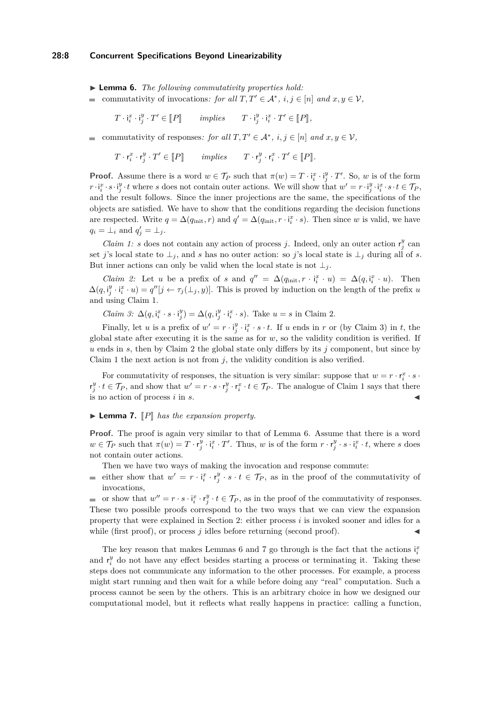#### **28:8 Concurrent Specifications Beyond Linearizability**

<span id="page-7-0"></span>I **Lemma 6.** *The following commutativity properties hold:*

commutativity of invocations: for all  $T, T' \in \mathcal{A}^*, i, j \in [n]$  and  $x, y \in \mathcal{V}$ ,  $\blacksquare$ 

$$
T \cdot \mathbf{i}_i^x \cdot \mathbf{i}_j^y \cdot T' \in [ \! [ P ] \! ] \qquad \text{implies} \qquad T \cdot \mathbf{i}_j^y \cdot \mathbf{i}_i^x \cdot T' \in [ \! [ P ] \! ],
$$

commutativity of responses: for all  $T, T' \in \mathcal{A}^*, i, j \in [n]$  and  $x, y \in \mathcal{V}$ ,

 $T \cdot \mathbf{r}_i^x \cdot \mathbf{r}_j^y \cdot T' \in [P]$  *implies*  $T \cdot \mathbf{r}_j^y \cdot \mathbf{r}_i^x \cdot T' \in [P]$ .

**Proof.** Assume there is a word  $w \in \mathcal{T}_P$  such that  $\pi(w) = T \cdot \mathbf{i}_i^x \cdot \mathbf{i}_j^y \cdot T'$ . So, *w* is of the form  $r \cdot i_i^x \cdot s \cdot i_j^y \cdot t$  where s does not contain outer actions. We will show that  $w' = r \cdot i_j^y \cdot i_i^x \cdot s \cdot t \in \mathcal{T}_P$ , and the result follows. Since the inner projections are the same, the specifications of the objects are satisfied. We have to show that the conditions regarding the decision functions are respected. Write  $q = \Delta(q_{\text{init}}, r)$  and  $q' = \Delta(q_{\text{init}}, r \cdot i_i^x \cdot s)$ . Then since *w* is valid, we have  $q_i = \perp_i$  and  $q'_j = \perp_j$ .

*Claim 1: s* does not contain any action of process *j*. Indeed, only an outer action  $r_j^y$  can set *j*'s local state to  $\perp_j$ , and *s* has no outer action: so *j*'s local state is  $\perp_j$  during all of *s*. But inner actions can only be valid when the local state is not  $\perp_i$ .

*Claim 2:* Let *u* be a prefix of *s* and  $q'' = \Delta(q_{\text{init}}, r \cdot i_i^x \cdot u) = \Delta(q, i_i^x \cdot u)$ . Then  $\Delta(q, i_j^y \cdot i_i^x \cdot u) = q''[j \leftarrow \tau_j(\perp_j, y)].$  This is proved by induction on the length of the prefix *u* and using Claim 1.

*Claim 3:*  $\Delta(q, i_i^x \cdot s \cdot i_j^y) = \Delta(q, i_j^y \cdot i_i^x \cdot s)$ . Take  $u = s$  in Claim 2.

Finally, let *u* is a prefix of  $w' = r \cdot i_j^y \cdot i_i^x \cdot s \cdot t$ . If *u* ends in *r* or (by Claim 3) in *t*, the global state after executing it is the same as for *w*, so the validity condition is verified. If *u* ends in *s*, then by Claim 2 the global state only differs by its *j* component, but since by Claim 1 the next action is not from *j*, the validity condition is also verified.

For commutativity of responses, the situation is very similar: suppose that  $w = r \cdot r_i^x \cdot s \cdot s$  $r_j^y \cdot t \in \mathcal{T}_P$ , and show that  $w' = r \cdot s \cdot r_j^y \cdot r_i^x \cdot t \in \mathcal{T}_P$ . The analogue of Claim 1 says that there is no action of process *i* in *s*.

#### <span id="page-7-1"></span> $\blacktriangleright$  **Lemma 7.**  $\llbracket P \rrbracket$  *has the expansion property.*

**Proof.** The proof is again very similar to that of Lemma [6.](#page-7-0) Assume that there is a word  $w \in \mathcal{T}_P$  such that  $\pi(w) = T \cdot r_j^y \cdot i_i^x \cdot T'$ . Thus, w is of the form  $r \cdot r_j^y \cdot s \cdot i_i^x \cdot t$ , where s does not contain outer actions.

- Then we have two ways of making the invocation and response commute:
- either show that  $w' = r \cdot i_i^x \cdot r_j^y \cdot s \cdot t \in \mathcal{T}_P$ , as in the proof of the commutativity of  $\blacksquare$ invocations,

or show that  $w'' = r \cdot s \cdot i_i^x \cdot r_j^y \cdot t \in \mathcal{T}_P$ , as in the proof of the commutativity of responses. These two possible proofs correspond to the two ways that we can view the expansion property that were explained in Section [2:](#page-3-0) either process *i* is invoked sooner and idles for a while (first proof), or process  $j$  idles before returning (second proof).

The key reason that makes Lemmas [6](#page-7-0) and [7](#page-7-1) go through is the fact that the actions  $i_i^x$ and  $r_i^y$  do not have any effect besides starting a process or terminating it. Taking these steps does not communicate any information to the other processes. For example, a process might start running and then wait for a while before doing any "real" computation. Such a process cannot be seen by the others. This is an arbitrary choice in how we designed our computational model, but it reflects what really happens in practice: calling a function,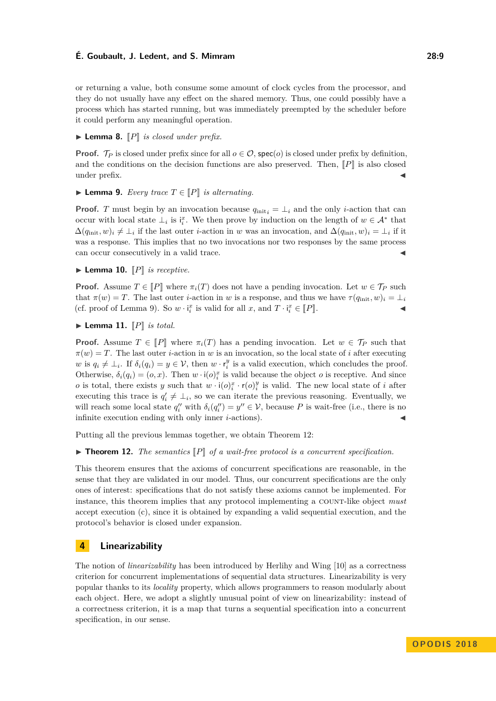or returning a value, both consume some amount of clock cycles from the processor, and they do not usually have any effect on the shared memory. Thus, one could possibly have a process which has started running, but was immediately preempted by the scheduler before it could perform any meaningful operation.

#### $\blacktriangleright$  **Lemma 8.**  $\llbracket P \rrbracket$  *is closed under prefix.*

**Proof.**  $\mathcal{T}_P$  is closed under prefix since for all  $o \in \mathcal{O}$ , spec(*o*) is closed under prefix by definition, and the conditions on the decision functions are also preserved. Then,  $\llbracket P \rrbracket$  is also closed under prefix.

#### <span id="page-8-2"></span>▶ **Lemma 9.** *Every trace*  $T \in \llbracket P \rrbracket$  *is alternating*.

**Proof.** *T* must begin by an invocation because  $q_{\text{init}} = \perp_i$  and the only *i*-action that can occur with local state  $\perp_i$  is  $i_i^x$ . We then prove by induction on the length of  $w \in A^*$  that  $\Delta(q_{\text{init}}, w)_i \neq \perp_i$  if the last outer *i*-action in *w* was an invocation, and  $\Delta(q_{\text{init}}, w)_i = \perp_i$  if it was a response. This implies that no two invocations nor two responses by the same process can occur consecutively in a valid trace.

# $\blacktriangleright$  **Lemma 10.**  $\llbracket P \rrbracket$  *is receptive.*

**Proof.** Assume  $T \in [P]$  where  $\pi_i(T)$  does not have a pending invocation. Let  $w \in \mathcal{T}_P$  such that  $\pi(w) = T$ . The last outer *i*-action in *w* is a response, and thus we have  $\tau(q_{\text{init}}, w)_i = \bot_i$ (cf. proof of Lemma [9\)](#page-8-2). So  $w \cdot i_i^x$  is valid for all  $x$ , and  $T \cdot i_i^x \in [P]$ .

## $\blacktriangleright$  **Lemma 11.**  $\llbracket P \rrbracket$  *is total.*

**Proof.** Assume  $T \in \llbracket P \rrbracket$  where  $\pi_i(T)$  has a pending invocation. Let  $w \in \mathcal{T}_P$  such that  $\pi(w) = T$ . The last outer *i*-action in *w* is an invocation, so the local state of *i* after executing *w* is  $q_i \neq \perp_i$ . If  $\delta_i(q_i) = y \in V$ , then *w* ·  $r_i^y$  is a valid execution, which concludes the proof. Otherwise,  $\delta_i(q_i) = (o, x)$ . Then  $w \cdot i(o)^x_i$  is valid because the object *o* is receptive. And since *o* is total, there exists *y* such that  $w \cdot i(o)_{i}^{x} \cdot r(o)_{i}^{y}$  is valid. The new local state of *i* after executing this trace is  $q'_i \neq \perp_i$ , so we can iterate the previous reasoning. Eventually, we will reach some local state  $q''_i$  with  $\delta_i(q''_i) = y'' \in V$ , because P is wait-free (i.e., there is no infinite execution ending with only inner  $i$ -actions).

Putting all the previous lemmas together, we obtain Theorem [12:](#page-8-0)

## <span id="page-8-0"></span> $\blacktriangleright$  **Theorem 12.** *The semantics*  $\llbracket P \rrbracket$  *of a wait-free protocol is a concurrent specification.*

This theorem ensures that the axioms of concurrent specifications are reasonable, in the sense that they are validated in our model. Thus, our concurrent specifications are the only ones of interest: specifications that do not satisfy these axioms cannot be implemented. For instance, this theorem implies that any protocol implementing a COUNT-like object *must* accept execution (c), since it is obtained by expanding a valid sequential execution, and the protocol's behavior is closed under expansion.

# <span id="page-8-1"></span>**4 Linearizability**

The notion of *linearizability* has been introduced by Herlihy and Wing [\[10\]](#page-15-3) as a correctness criterion for concurrent implementations of sequential data structures. Linearizability is very popular thanks to its *locality* property, which allows programmers to reason modularly about each object. Here, we adopt a slightly unusual point of view on linearizability: instead of a correctness criterion, it is a map that turns a sequential specification into a concurrent specification, in our sense.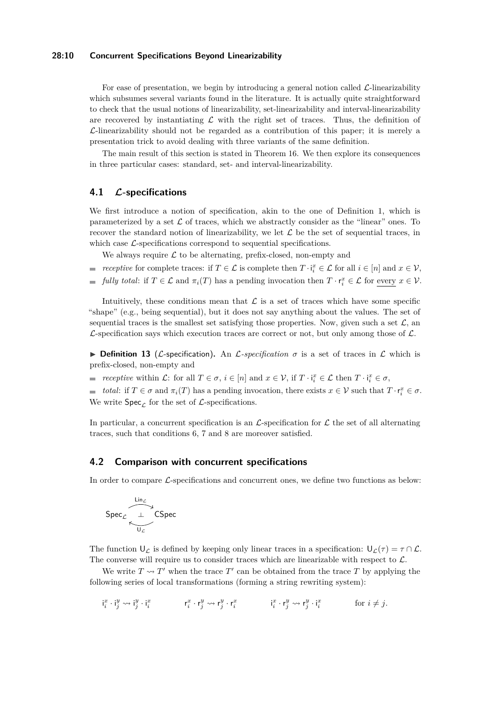#### **28:10 Concurrent Specifications Beyond Linearizability**

For ease of presentation, we begin by introducing a general notion called  $\mathcal{L}$ -linearizability which subsumes several variants found in the literature. It is actually quite straightforward to check that the usual notions of linearizability, set-linearizability and interval-linearizability are recovered by instantiating  $\mathcal L$  with the right set of traces. Thus, the definition of  $\mathcal{L}$ -linearizability should not be regarded as a contribution of this paper; it is merely a presentation trick to avoid dealing with three variants of the same definition.

The main result of this section is stated in Theorem [16.](#page-10-0) We then explore its consequences in three particular cases: standard, set- and interval-linearizability.

# **4.1 L-specifications**

We first introduce a notion of specification, akin to the one of Definition [1,](#page-3-1) which is parameterized by a set  $\mathcal L$  of traces, which we abstractly consider as the "linear" ones. To recover the standard notion of linearizability, we let  $\mathcal L$  be the set of sequential traces, in which case  $\mathcal{L}$ -specifications correspond to sequential specifications.

We always require  $\mathcal L$  to be alternating, prefix-closed, non-empty and

- *receptive* for complete traces: if  $T \in \mathcal{L}$  is complete then  $T \cdot i_i^x \in \mathcal{L}$  for all  $i \in [n]$  and  $x \in \mathcal{V}$ ,
- *fully total*: if  $T \in \mathcal{L}$  and  $\pi_i(T)$  has a pending invocation then  $T \cdot r_i^x \in \mathcal{L}$  for every  $x \in \mathcal{V}$ .

Intuitively, these conditions mean that  $\mathcal L$  is a set of traces which have some specific "shape" (e.g., being sequential), but it does not say anything about the values. The set of sequential traces is the smallest set satisfying those properties. Now, given such a set  $\mathcal{L}$ , an  $\mathcal{L}$ -specification says which execution traces are correct or not, but only among those of  $\mathcal{L}$ .

<span id="page-9-0"></span>**Definition 13** (*L*-specification). An *L*-specification  $\sigma$  is a set of traces in *L* which is prefix-closed, non-empty and

- *receptive* within  $\mathcal{L}$ : for all  $T \in \sigma$ ,  $i \in [n]$  and  $x \in \mathcal{V}$ , if  $T \cdot i_i^x \in \mathcal{L}$  then  $T \cdot i_i^x \in \sigma$ ,
- *total*: if  $T \in \sigma$  and  $\pi_i(T)$  has a pending invocation, there exists  $x \in \mathcal{V}$  such that  $T \cdot r_i^x \in \sigma$ . We write  $Spec_{\mathcal{L}}$  for the set of  $\mathcal{L}$ -specifications.

In particular, a concurrent specification is an  $\mathcal{L}$ -specification for  $\mathcal{L}$  the set of all alternating traces, such that conditions [6,](#page-3-2) [7](#page-4-0) and [8](#page-4-1) are moreover satisfied.

#### <span id="page-9-1"></span>**4.2 Comparison with concurrent specifications**

In order to compare  $\mathcal{L}$ -specifications and concurrent ones, we define two functions as below:

$$
\mathsf{Spec}_{\mathcal{L}}\overline{\underset{\mathsf{U}_{\mathcal{L}}}{\overset{\mathsf{Lin}_{\mathcal{L}}}{\longleftarrow}}}\mathsf{CSpec}
$$

The function  $U_{\mathcal{L}}$  is defined by keeping only linear traces in a specification:  $U_{\mathcal{L}}(\tau) = \tau \cap \mathcal{L}$ . The converse will require us to consider traces which are linearizable with respect to  $\mathcal{L}$ .

We write  $T \rightsquigarrow T'$  when the trace  $T'$  can be obtained from the trace  $T$  by applying the following series of local transformations (forming a string rewriting system):

$$
\mathbf{i}^x_i \cdot \mathbf{i}^y_j \leadsto \mathbf{i}^y_j \cdot \mathbf{i}^x_i \qquad \qquad \mathbf{r}^x_i \cdot \mathbf{r}^y_j \leadsto \mathbf{r}^y_j \cdot \mathbf{r}^x_i \qquad \qquad \mathbf{i}^x_i \cdot \mathbf{r}^y_j \leadsto \mathbf{r}^y_j \cdot \mathbf{i}^x_i \qquad \qquad \text{for } i \neq j.
$$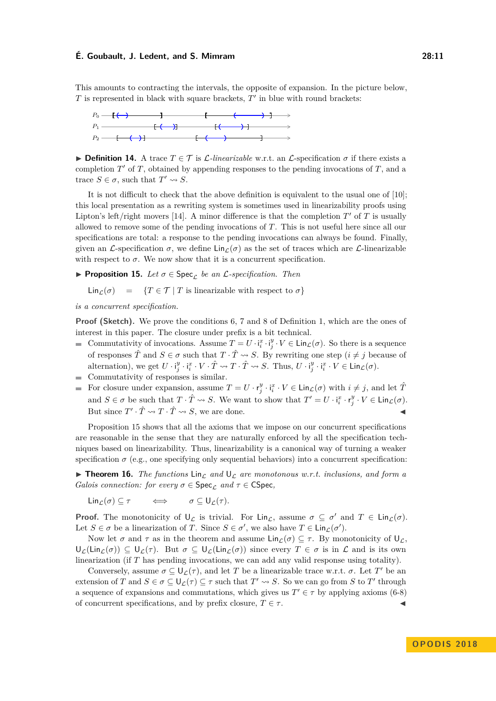This amounts to contracting the intervals, the opposite of expansion. In the picture below,  $T$  is represented in black with square brackets,  $T'$  in blue with round brackets:



**Definition 14.** A trace  $T \in \mathcal{T}$  is  $\mathcal{L}\text{-}linearizable$  w.r.t. an  $\mathcal{L}\text{-}specification \sigma$  if there exists a completion  $T'$  of  $T$ , obtained by appending responses to the pending invocations of  $T$ , and a trace  $S \in \sigma$ , such that  $T' \rightsquigarrow S$ .

It is not difficult to check that the above definition is equivalent to the usual one of [\[10\]](#page-15-3); this local presentation as a rewriting system is sometimes used in linearizability proofs using Lipton's left/right movers [\[14\]](#page-15-9). A minor difference is that the completion  $T'$  of  $T$  is usually allowed to remove some of the pending invocations of *T*. This is not useful here since all our specifications are total: a response to the pending invocations can always be found. Finally, given an  $\mathcal{L}$ -specification  $\sigma$ , we define  $\text{Lin}_{\mathcal{L}}(\sigma)$  as the set of traces which are  $\mathcal{L}$ -linearizable with respect to  $\sigma$ . We now show that it is a concurrent specification.

<span id="page-10-1"></span>**Proposition 15.** Let  $\sigma \in \text{Spec}_{\mathcal{L}}$  be an L-specification. Then

$$
\text{Lin}_{\mathcal{L}}(\sigma) = \{T \in \mathcal{T} \mid T \text{ is linearizable with respect to } \sigma\}
$$

*is a concurrent specification.*

**Proof (Sketch).** We prove the conditions [6,](#page-3-2) [7](#page-4-0) and [8](#page-4-1) of Definition [1,](#page-3-1) which are the ones of interest in this paper. The closure under prefix is a bit technical.

- Commutativity of invocations. Assume  $T = U \cdot i_i^x \cdot i_j^y \cdot V \in \text{Lin}_{\mathcal{L}}(\sigma)$ . So there is a sequence of responses  $\hat{T}$  and  $S \in \sigma$  such that  $T \cdot \hat{T} \rightsquigarrow S$ . By rewriting one step  $(i \neq j$  because of alternation), we get  $U \cdot i_j^y \cdot i_i^x \cdot V \cdot \hat{T} \rightsquigarrow T \cdot \hat{T} \rightsquigarrow S$ . Thus,  $U \cdot i_j^y \cdot i_i^x \cdot V \in \text{Lin}_{\mathcal{L}}(\sigma)$ .
- Commutativity of responses is similar.
- For closure under expansion, assume  $T = U \cdot \mathbf{r}_j^y \cdot \mathbf{i}_i^x \cdot V \in \text{Lin}_{\mathcal{L}}(\sigma)$  with  $i \neq j$ , and let  $\hat{T}$ and  $S \in \sigma$  be such that  $T \cdot \hat{T} \rightsquigarrow S$ . We want to show that  $T' = U \cdot i_i^x \cdot r_j^y \cdot V \in \text{Lin}_{\mathcal{L}}(\sigma)$ . But since  $T' \cdot \hat{T} \rightsquigarrow T \cdot \hat{T} \rightsquigarrow S$ , we are done.

Proposition [15](#page-10-1) shows that all the axioms that we impose on our concurrent specifications are reasonable in the sense that they are naturally enforced by all the specification techniques based on linearizability. Thus, linearizability is a canonical way of turning a weaker specification  $\sigma$  (e.g., one specifying only sequential behaviors) into a concurrent specification:

<span id="page-10-0"></span>**Theorem 16.** *The functions*  $\text{Lin}_{\mathcal{L}}$  *and*  $\text{U}_{\mathcal{L}}$  *are monotonous w.r.t. inclusions, and form a Galois connection: for every*  $\sigma \in \text{Spec}_{\mathcal{L}}$  *and*  $\tau \in \text{CSpec}$ *,* 

Lin $_{\mathcal{L}}(\sigma) \subseteq \tau$   $\iff$   $\sigma \subseteq U_{\mathcal{L}}(\tau)$ *.* 

**Proof.** The monotonicity of  $\mathsf{U}_{\mathcal{L}}$  is trivial. For Lin<sub>L</sub>, assume  $\sigma \subseteq \sigma'$  and  $T \in \mathsf{Lin}_{\mathcal{L}}(\sigma)$ . Let  $S \in \sigma$  be a linearization of *T*. Since  $S \in \sigma'$ , we also have  $T \in \text{Lin}_{\mathcal{L}}(\sigma')$ .

Now let  $\sigma$  and  $\tau$  as in the theorem and assume Lin $\chi(\sigma) \subseteq \tau$ . By monotonicity of  $\mathsf{U}_{\mathcal{L}}$ ,  $U_{\mathcal{L}}(\text{Lin}_{\mathcal{L}}(\sigma)) \subseteq U_{\mathcal{L}}(\tau)$ . But  $\sigma \subseteq U_{\mathcal{L}}(\text{Lin}_{\mathcal{L}}(\sigma))$  since every  $T \in \sigma$  is in  $\mathcal{L}$  and is its own linearization (if *T* has pending invocations, we can add any valid response using totality).

Conversely, assume  $\sigma \subseteq \bigcup_{\mathcal{L}}(\tau)$ , and let *T* be a linearizable trace w.r.t.  $\sigma$ . Let *T'* be an extension of *T* and  $S \in \sigma \subseteq \bigcup_{\mathcal{L}} (\tau) \subseteq \tau$  such that  $T' \rightsquigarrow S$ . So we can go from *S* to  $T'$  through a sequence of expansions and commutations, which gives us  $T' \in \tau$  by applying axioms (6-8) of concurrent specifications, and by prefix closure,  $T \in \tau$ .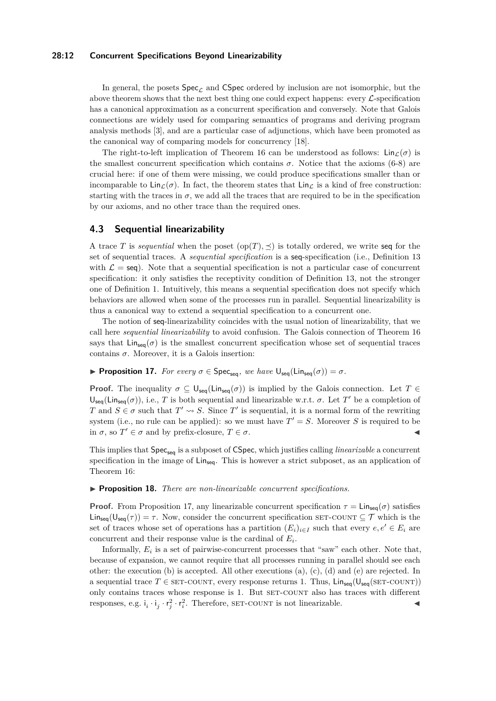#### **28:12 Concurrent Specifications Beyond Linearizability**

In general, the posets  $Spec_{\mathcal{L}}$  and CSpec ordered by inclusion are not isomorphic, but the above theorem shows that the next best thing one could expect happens: every  $\mathcal{L}$ -specification has a canonical approximation as a concurrent specification and conversely. Note that Galois connections are widely used for comparing semantics of programs and deriving program analysis methods [\[3\]](#page-14-6), and are a particular case of adjunctions, which have been promoted as the canonical way of comparing models for concurrency [\[18\]](#page-15-10).

The right-to-left implication of Theorem [16](#page-10-0) can be understood as follows:  $\text{Lin}_{\mathcal{L}}(\sigma)$  is the smallest concurrent specification which contains  $\sigma$ . Notice that the axioms (6-8) are crucial here: if one of them were missing, we could produce specifications smaller than or incomparable to  $\text{Lin}_{\mathcal{L}}(\sigma)$ . In fact, the theorem states that  $\text{Lin}_{\mathcal{L}}$  is a kind of free construction: starting with the traces in  $\sigma$ , we add all the traces that are required to be in the specification by our axioms, and no other trace than the required ones.

## **4.3 Sequential linearizability**

A trace *T* is *sequential* when the poset  $(op(T), \preceq)$  is totally ordered, we write seq for the set of sequential traces. A *sequential specification* is a seq-specification (i.e., Definition [13](#page-9-0) with  $\mathcal{L} = \text{seq}$ . Note that a sequential specification is not a particular case of concurrent specification: it only satisfies the receptivity condition of Definition [13,](#page-9-0) not the stronger one of Definition [1.](#page-3-1) Intuitively, this means a sequential specification does not specify which behaviors are allowed when some of the processes run in parallel. Sequential linearizability is thus a canonical way to extend a sequential specification to a concurrent one.

The notion of seq-linearizability coincides with the usual notion of linearizability, that we call here *sequential linearizability* to avoid confusion. The Galois connection of Theorem [16](#page-10-0) says that  $\text{Lin}_{\text{seq}}(\sigma)$  is the smallest concurrent specification whose set of sequential traces contains  $\sigma$ . Moreover, it is a Galois insertion:

<span id="page-11-0"></span>**Proposition 17.** *For every*  $\sigma \in \text{Spec}_{\text{seq}}$ *, we have*  $\mathsf{U}_{\text{seq}}(\text{Lin}_{\text{seq}}(\sigma)) = \sigma$ *.* 

**Proof.** The inequality  $\sigma \subseteq \bigcup_{\mathsf{seq}}(\mathsf{Lin}_{\mathsf{seq}}(\sigma))$  is implied by the Galois connection. Let  $T \in$  $U_{\text{seq}}(\text{Lin}_{\text{seq}}(\sigma))$ , i.e., *T* is both sequential and linearizable w.r.t.  $\sigma$ . Let *T'* be a completion of *T* and  $S \in \sigma$  such that  $T' \rightsquigarrow S$ . Since *T*' is sequential, it is a normal form of the rewriting system (i.e., no rule can be applied): so we must have  $T' = S$ . Moreover *S* is required to be in  $\sigma$ , so  $T' \in \sigma$  and by prefix-closure,  $T \in \sigma$ .

This implies that  $Spec_{seq}$  is a subposet of CSpec, which justifies calling *linearizable* a concurrent specification in the image of  $\text{Lin}_{\text{seq}}$ . This is however a strict subposet, as an application of Theorem [16:](#page-10-0)

<span id="page-11-1"></span>I **Proposition 18.** *There are non-linearizable concurrent specifications.*

**Proof.** From Proposition [17,](#page-11-0) any linearizable concurrent specification  $\tau = \text{Lin}_{\text{seq}}(\sigma)$  satisfies  $\text{Lin}_{\text{seq}}(U_{\text{seq}}(\tau)) = \tau$ . Now, consider the concurrent specification SET-COUNT  $\subseteq \mathcal{T}$  which is the set of traces whose set of operations has a partition  $(E_i)_{i \in I}$  such that every  $e, e' \in E_i$  are concurrent and their response value is the cardinal of *E<sup>i</sup>* .

Informally,  $E_i$  is a set of pairwise-concurrent processes that "saw" each other. Note that, because of expansion, we cannot require that all processes running in parallel should see each other: the execution (b) is accepted. All other executions (a), (c), (d) and (e) are rejected. In a sequential trace  $T \in \text{SET-COUNT}$ , every response returns 1. Thus,  $\text{Lin}_{seq}(\text{U}_{seq}(\text{SET-COUNT}))$ only contains traces whose response is 1. But set-countr also has traces with different responses, e.g.  $i_i \cdot i_j \cdot r_i^2 \cdot r_i^2$ . Therefore, SET-COUNT is not linearizable.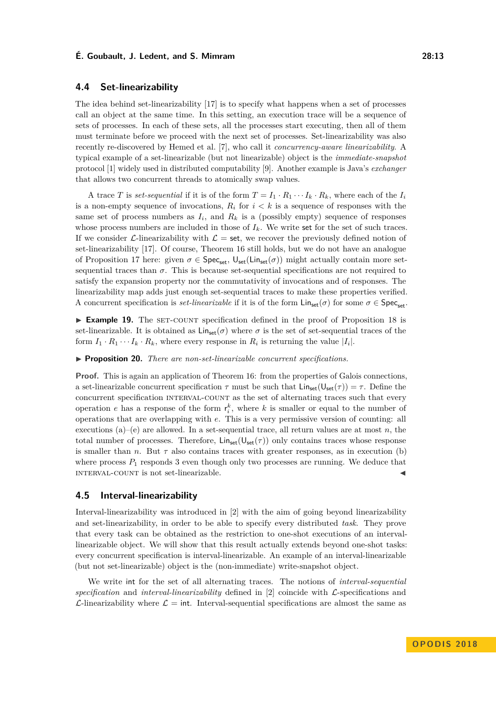## **4.4 Set-linearizability**

The idea behind set-linearizability [\[17\]](#page-15-8) is to specify what happens when a set of processes call an object at the same time. In this setting, an execution trace will be a sequence of sets of processes. In each of these sets, all the processes start executing, then all of them must terminate before we proceed with the next set of processes. Set-linearizability was also recently re-discovered by Hemed et al. [\[7\]](#page-14-2), who call it *concurrency-aware linearizability*. A typical example of a set-linearizable (but not linearizable) object is the *immediate-snapshot* protocol [\[1\]](#page-14-7) widely used in distributed computability [\[9\]](#page-15-0). Another example is Java's *exchanger* that allows two concurrent threads to atomically swap values.

A trace *T* is *set-sequential* if it is of the form  $T = I_1 \cdot R_1 \cdots I_k \cdot R_k$ , where each of the  $I_i$ is a non-empty sequence of invocations,  $R_i$  for  $i < k$  is a sequence of responses with the same set of process numbers as  $I_i$ , and  $R_k$  is a (possibly empty) sequence of responses whose process numbers are included in those of  $I_k$ . We write set for the set of such traces. If we consider L-linearizability with  $\mathcal{L} =$  set, we recover the previously defined notion of set-linearizability [\[17\]](#page-15-8). Of course, Theorem [16](#page-10-0) still holds, but we do not have an analogue of Proposition [17](#page-11-0) here: given  $\sigma \in \mathsf{Spec}_{\mathsf{set}}$ ,  $\mathsf{U}_{\mathsf{set}}(\mathsf{Lin}_{\mathsf{set}}(\sigma))$  might actually contain more setsequential traces than  $\sigma$ . This is because set-sequential specifications are not required to satisfy the expansion property nor the commutativity of invocations and of responses. The linearizability map adds just enough set-sequential traces to make these properties verified. A concurrent specification is *set-linearizable* if it is of the form  $\text{Lin}_{\text{set}}(\sigma)$  for some  $\sigma \in \text{Spec}_{\text{set}}$ .

**Example 19.** The SET-COUNT specification defined in the proof of Proposition [18](#page-11-1) is set-linearizable. It is obtained as  $\text{Lin}_{set}(\sigma)$  where  $\sigma$  is the set of set-sequential traces of the form  $I_1 \cdot R_1 \cdots I_k \cdot R_k$ , where every response in  $R_i$  is returning the value  $|I_i|$ .

I **Proposition 20.** *There are non-set-linearizable concurrent specifications.*

**Proof.** This is again an application of Theorem [16:](#page-10-0) from the properties of Galois connections, a set-linearizable concurrent specification  $\tau$  must be such that  $\text{Lin}_{set}(\mathsf{U}_{set}(\tau)) = \tau$ . Define the concurrent specification interval-count as the set of alternating traces such that every operation *e* has a response of the form  $r_i^k$ , where *k* is smaller or equal to the number of operations that are overlapping with *e*. This is a very permissive version of counting: all executions  $(a)$ – $(e)$  are allowed. In a set-sequential trace, all return values are at most *n*, the total number of processes. Therefore,  $\text{Lin}_{set}(\mathsf{U}_{set}(\tau))$  only contains traces whose response is smaller than *n*. But  $\tau$  also contains traces with greater responses, as in execution (b) where process  $P_1$  responds 3 even though only two processes are running. We deduce that INTERVAL-COUNT is not set-linearizable.

# **4.5 Interval-linearizability**

Interval-linearizability was introduced in [\[2\]](#page-14-3) with the aim of going beyond linearizability and set-linearizability, in order to be able to specify every distributed *task*. They prove that every task can be obtained as the restriction to one-shot executions of an intervallinearizable object. We will show that this result actually extends beyond one-shot tasks: every concurrent specification is interval-linearizable. An example of an interval-linearizable (but not set-linearizable) object is the (non-immediate) write-snapshot object.

We write int for the set of all alternating traces. The notions of *interval-sequential specification* and *interval-linearizability* defined in [\[2\]](#page-14-3) coincide with L-specifications and  $\mathcal{L}$ -linearizability where  $\mathcal{L} = \text{int.}$  Interval-sequential specifications are almost the same as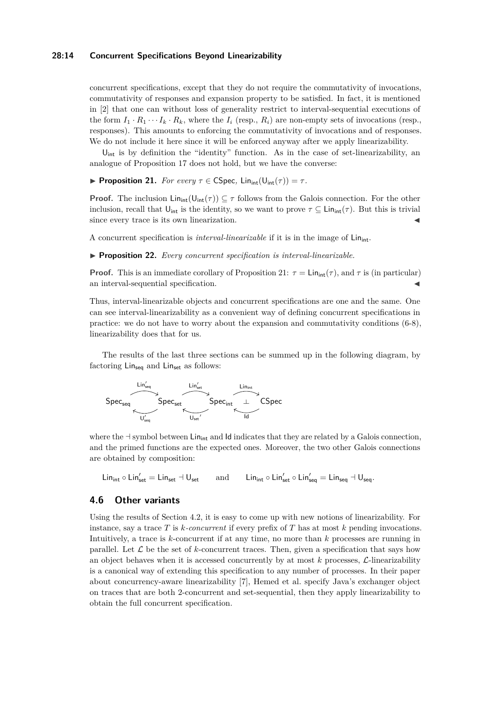#### **28:14 Concurrent Specifications Beyond Linearizability**

concurrent specifications, except that they do not require the commutativity of invocations, commutativity of responses and expansion property to be satisfied. In fact, it is mentioned in [\[2\]](#page-14-3) that one can without loss of generality restrict to interval-sequential executions of the form  $I_1 \cdot R_1 \cdots I_k \cdot R_k$ , where the  $I_i$  (resp.,  $R_i$ ) are non-empty sets of invocations (resp., responses). This amounts to enforcing the commutativity of invocations and of responses. We do not include it here since it will be enforced anyway after we apply linearizability.

 $U_{\text{int}}$  is by definition the "identity" function. As in the case of set-linearizability, an analogue of Proposition [17](#page-11-0) does not hold, but we have the converse:

<span id="page-13-0"></span>**Proposition 21.** *For every*  $\tau \in \mathsf{CSpec}$ ,  $\mathsf{Lin}_{\mathsf{int}}(\mathsf{U}_{\mathsf{int}}(\tau)) = \tau$ .

**Proof.** The inclusion  $\text{Lin}_{int}(\mathsf{U}_{int}(\tau)) \subseteq \tau$  follows from the Galois connection. For the other inclusion, recall that  $U_{\text{int}}$  is the identity, so we want to prove  $\tau \subseteq \text{Lin}_{\text{int}}(\tau)$ . But this is trivial since every trace is its own linearization.

A concurrent specification is *interval-linearizable* if it is in the image of Lin<sub>int</sub>.

I **Proposition 22.** *Every concurrent specification is interval-linearizable.*

**Proof.** This is an immediate corollary of Proposition [21:](#page-13-0)  $\tau = \text{Lin}_{int}(\tau)$ , and  $\tau$  is (in particular) an interval-sequential specification.

Thus, interval-linearizable objects and concurrent specifications are one and the same. One can see interval-linearizability as a convenient way of defining concurrent specifications in practice: we do not have to worry about the expansion and commutativity conditions (6-8), linearizability does that for us.

The results of the last three sections can be summed up in the following diagram, by factoring  $\text{Lin}_{\text{sea}}$  and  $\text{Lin}_{\text{set}}$  as follows:



where the  $\exists$  symbol between Lin<sub>int</sub> and Id indicates that they are related by a Galois connection, and the primed functions are the expected ones. Moreover, the two other Galois connections are obtained by composition:

 $\mathsf{Lin}_{\mathsf{int}} \circ \mathsf{Lin}_{\mathsf{set}}' = \mathsf{Lin}_{\mathsf{set}} \dashv \mathsf{U}_{\mathsf{set}} \qquad \text{and} \qquad \mathsf{Lin}_{\mathsf{int}} \circ \mathsf{Lin}_{\mathsf{set}}' \circ \mathsf{Lin}_{\mathsf{seq}}' = \mathsf{Lin}_{\mathsf{seq}} \dashv \mathsf{U}_{\mathsf{seq}}.$ 

# **4.6 Other variants**

Using the results of Section [4.2,](#page-9-1) it is easy to come up with new notions of linearizability. For instance, say a trace *T* is *k-concurrent* if every prefix of *T* has at most *k* pending invocations. Intuitively, a trace is *k*-concurrent if at any time, no more than *k* processes are running in parallel. Let  $\mathcal L$  be the set of  $k$ -concurrent traces. Then, given a specification that says how an object behaves when it is accessed concurrently by at most  $k$  processes,  $\mathcal{L}$ -linearizability is a canonical way of extending this specification to any number of processes. In their paper about concurrency-aware linearizability [\[7\]](#page-14-2), Hemed et al. specify Java's exchanger object on traces that are both 2-concurrent and set-sequential, then they apply linearizability to obtain the full concurrent specification.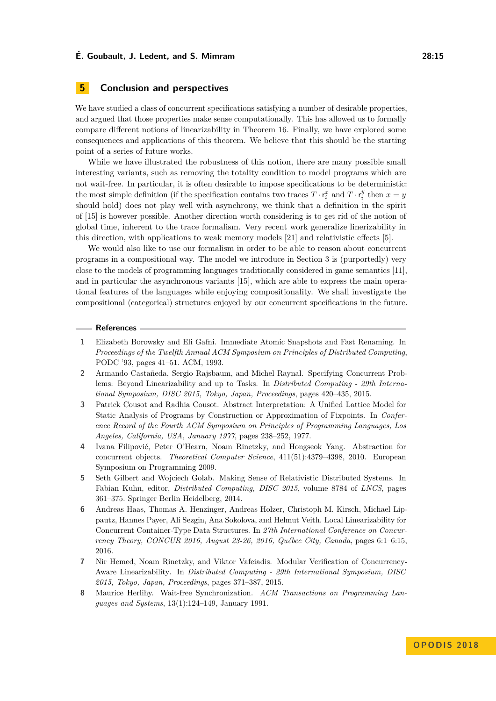# <span id="page-14-4"></span>**5 Conclusion and perspectives**

We have studied a class of concurrent specifications satisfying a number of desirable properties, and argued that those properties make sense computationally. This has allowed us to formally compare different notions of linearizability in Theorem [16.](#page-10-0) Finally, we have explored some consequences and applications of this theorem. We believe that this should be the starting point of a series of future works.

While we have illustrated the robustness of this notion, there are many possible small interesting variants, such as removing the totality condition to model programs which are not wait-free. In particular, it is often desirable to impose specifications to be deterministic: the most simple definition (if the specification contains two traces  $T \cdot r_i^x$  and  $T \cdot r_i^y$  then  $x = y$ should hold) does not play well with asynchrony, we think that a definition in the spirit of [\[15\]](#page-15-11) is however possible. Another direction worth considering is to get rid of the notion of global time, inherent to the trace formalism. Very recent work generalize linerizability in this direction, with applications to weak memory models [\[21\]](#page-15-12) and relativistic effects [\[5\]](#page-14-8).

We would also like to use our formalism in order to be able to reason about concurrent programs in a compositional way. The model we introduce in Section [3](#page-5-0) is (purportedly) very close to the models of programming languages traditionally considered in game semantics [\[11\]](#page-15-13), and in particular the asynchronous variants [\[15\]](#page-15-11), which are able to express the main operational features of the languages while enjoying compositionality. We shall investigate the compositional (categorical) structures enjoyed by our concurrent specifications in the future.

#### **References**

- <span id="page-14-7"></span>**1** Elizabeth Borowsky and Eli Gafni. Immediate Atomic Snapshots and Fast Renaming. In *Proceedings of the Twelfth Annual ACM Symposium on Principles of Distributed Computing*, PODC '93, pages 41–51. ACM, 1993.
- <span id="page-14-3"></span>**2** Armando Castañeda, Sergio Rajsbaum, and Michel Raynal. Specifying Concurrent Problems: Beyond Linearizability and up to Tasks. In *Distributed Computing - 29th International Symposium, DISC 2015, Tokyo, Japan, Proceedings*, pages 420–435, 2015.
- <span id="page-14-6"></span>**3** Patrick Cousot and Radhia Cousot. Abstract Interpretation: A Unified Lattice Model for Static Analysis of Programs by Construction or Approximation of Fixpoints. In *Conference Record of the Fourth ACM Symposium on Principles of Programming Languages, Los Angeles, California, USA, January 1977*, pages 238–252, 1977.
- <span id="page-14-5"></span>**4** Ivana Filipović, Peter O'Hearn, Noam Rinetzky, and Hongseok Yang. Abstraction for concurrent objects. *Theoretical Computer Science*, 411(51):4379–4398, 2010. European Symposium on Programming 2009.
- <span id="page-14-8"></span>**5** Seth Gilbert and Wojciech Golab. Making Sense of Relativistic Distributed Systems. In Fabian Kuhn, editor, *Distributed Computing, DISC 2015*, volume 8784 of *LNCS*, pages 361–375. Springer Berlin Heidelberg, 2014.
- <span id="page-14-1"></span>**6** Andreas Haas, Thomas A. Henzinger, Andreas Holzer, Christoph M. Kirsch, Michael Lippautz, Hannes Payer, Ali Sezgin, Ana Sokolova, and Helmut Veith. Local Linearizability for Concurrent Container-Type Data Structures. In *27th International Conference on Concurrency Theory, CONCUR 2016, August 23-26, 2016, Québec City, Canada*, pages 6:1–6:15, 2016.
- <span id="page-14-2"></span>**7** Nir Hemed, Noam Rinetzky, and Viktor Vafeiadis. Modular Verification of Concurrency-Aware Linearizability. In *Distributed Computing - 29th International Symposium, DISC 2015, Tokyo, Japan, Proceedings*, pages 371–387, 2015.
- <span id="page-14-0"></span>**8** Maurice Herlihy. Wait-free Synchronization. *ACM Transactions on Programming Languages and Systems*, 13(1):124–149, January 1991.